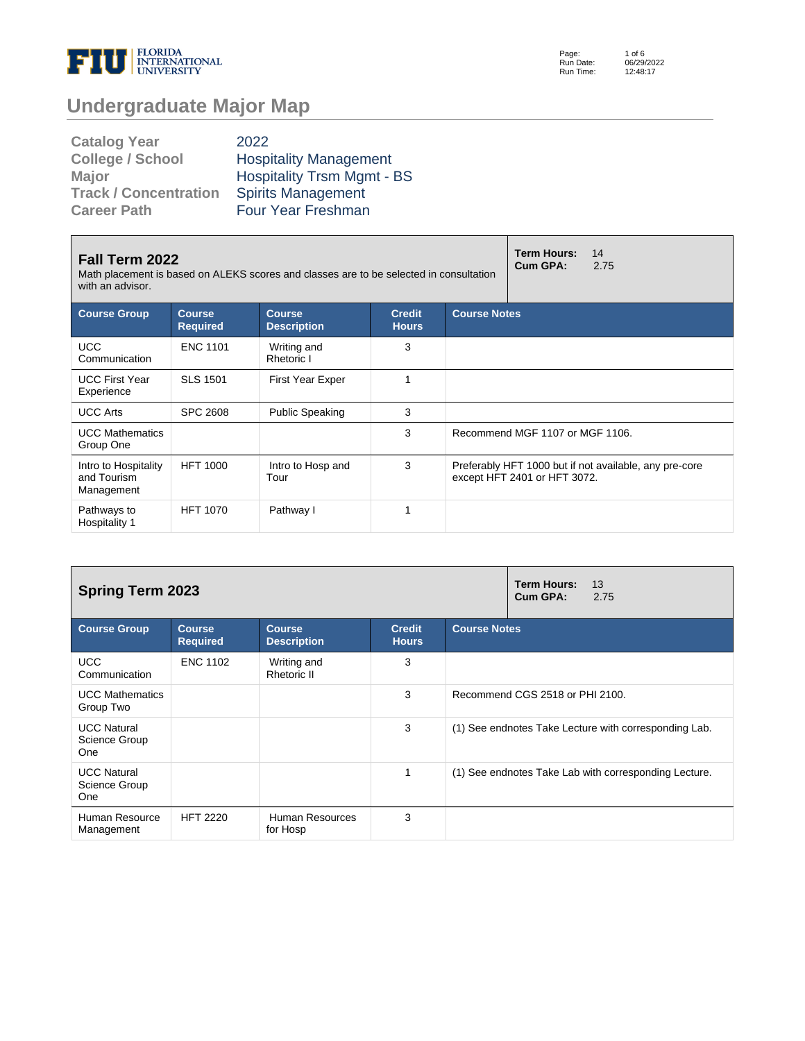

Page: Run Date: Run Time: 1 of 6 06/29/2022 12:48:17

## **Undergraduate Major Map**

| <b>Catalog Year</b>          | 2022                              |
|------------------------------|-----------------------------------|
| <b>College / School</b>      | <b>Hospitality Management</b>     |
| <b>Major</b>                 | <b>Hospitality Trsm Mgmt - BS</b> |
| <b>Track / Concentration</b> | <b>Spirits Management</b>         |
| <b>Career Path</b>           | <b>Four Year Freshman</b>         |

| Fall Term 2022<br>Math placement is based on ALEKS scores and classes are to be selected in consultation<br>with an advisor. |                                  | <b>Term Hours:</b><br>14<br><b>Cum GPA:</b><br>2.75 |                               |                     |                                                                                        |
|------------------------------------------------------------------------------------------------------------------------------|----------------------------------|-----------------------------------------------------|-------------------------------|---------------------|----------------------------------------------------------------------------------------|
| <b>Course Group</b>                                                                                                          | <b>Course</b><br><b>Required</b> | <b>Course</b><br><b>Description</b>                 | <b>Credit</b><br><b>Hours</b> | <b>Course Notes</b> |                                                                                        |
| <b>UCC</b><br>Communication                                                                                                  | <b>ENC 1101</b>                  | Writing and<br>Rhetoric I                           | 3                             |                     |                                                                                        |
| <b>UCC First Year</b><br>Experience                                                                                          | <b>SLS 1501</b>                  | <b>First Year Exper</b>                             |                               |                     |                                                                                        |
| <b>UCC Arts</b>                                                                                                              | <b>SPC 2608</b>                  | <b>Public Speaking</b>                              | 3                             |                     |                                                                                        |
| <b>UCC Mathematics</b><br>Group One                                                                                          |                                  |                                                     | 3                             |                     | Recommend MGF 1107 or MGF 1106.                                                        |
| Intro to Hospitality<br>and Tourism<br>Management                                                                            | <b>HFT 1000</b>                  | Intro to Hosp and<br>Tour                           | 3                             |                     | Preferably HFT 1000 but if not available, any pre-core<br>except HFT 2401 or HFT 3072. |
| Pathways to<br>Hospitality 1                                                                                                 | <b>HFT 1070</b>                  | Pathway I                                           |                               |                     |                                                                                        |

| <b>Spring Term 2023</b>                    |                                  | <b>Term Hours:</b><br>13<br>Cum GPA:<br>2.75 |                               |                     |                                                       |
|--------------------------------------------|----------------------------------|----------------------------------------------|-------------------------------|---------------------|-------------------------------------------------------|
| <b>Course Group</b>                        | <b>Course</b><br><b>Required</b> | <b>Course</b><br><b>Description</b>          | <b>Credit</b><br><b>Hours</b> | <b>Course Notes</b> |                                                       |
| <b>UCC</b><br>Communication                | <b>ENC 1102</b>                  | Writing and<br><b>Rhetoric II</b>            | 3                             |                     |                                                       |
| <b>UCC Mathematics</b><br>Group Two        |                                  |                                              | 3                             |                     | Recommend CGS 2518 or PHI 2100.                       |
| <b>UCC Natural</b><br>Science Group<br>One |                                  |                                              | 3                             |                     | (1) See endnotes Take Lecture with corresponding Lab. |
| <b>UCC Natural</b><br>Science Group<br>One |                                  |                                              |                               |                     | (1) See endnotes Take Lab with corresponding Lecture. |
| Human Resource<br>Management               | <b>HFT 2220</b>                  | Human Resources<br>for Hosp                  | 3                             |                     |                                                       |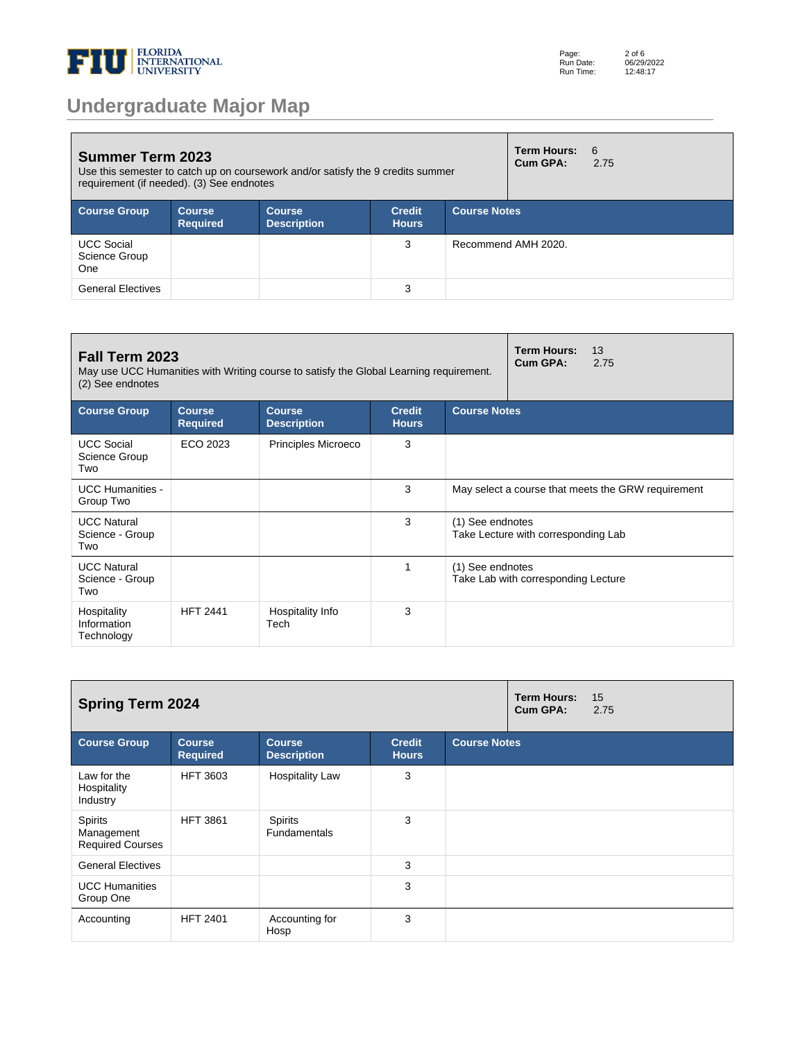

| <b>Summer Term 2023</b><br>Use this semester to catch up on coursework and/or satisfy the 9 credits summer<br>requirement (if needed). (3) See endnotes |                                  | <b>Term Hours:</b><br>Cum GPA:      | -6<br>2.75                    |                     |                     |  |
|---------------------------------------------------------------------------------------------------------------------------------------------------------|----------------------------------|-------------------------------------|-------------------------------|---------------------|---------------------|--|
| <b>Course Group</b>                                                                                                                                     | <b>Course</b><br><b>Required</b> | <b>Course</b><br><b>Description</b> | <b>Credit</b><br><b>Hours</b> | <b>Course Notes</b> |                     |  |
| <b>UCC Social</b><br>Science Group<br>One                                                                                                               |                                  |                                     | 3                             |                     | Recommend AMH 2020. |  |
| <b>General Electives</b>                                                                                                                                |                                  |                                     | 3                             |                     |                     |  |

| Fall Term 2023<br>May use UCC Humanities with Writing course to satisfy the Global Learning requirement.<br>(2) See endnotes |                                  | <b>Term Hours:</b><br>13<br>Cum GPA:<br>2.75 |                               |                     |                                                    |
|------------------------------------------------------------------------------------------------------------------------------|----------------------------------|----------------------------------------------|-------------------------------|---------------------|----------------------------------------------------|
| <b>Course Group</b>                                                                                                          | <b>Course</b><br><b>Required</b> | <b>Course</b><br><b>Description</b>          | <b>Credit</b><br><b>Hours</b> | <b>Course Notes</b> |                                                    |
| <b>UCC Social</b><br>Science Group<br>Two                                                                                    | ECO 2023                         | Principles Microeco                          | 3                             |                     |                                                    |
| <b>UCC Humanities -</b><br>Group Two                                                                                         |                                  |                                              | 3                             |                     | May select a course that meets the GRW requirement |
| <b>UCC Natural</b><br>Science - Group<br>Two                                                                                 |                                  |                                              | 3                             | (1) See endnotes    | Take Lecture with corresponding Lab                |
| <b>UCC Natural</b><br>Science - Group<br>Two                                                                                 |                                  |                                              | $\mathbf{1}$                  | (1) See endnotes    | Take Lab with corresponding Lecture                |
| Hospitality<br>Information<br>Technology                                                                                     | <b>HFT 2441</b>                  | Hospitality Info<br>Tech                     | 3                             |                     |                                                    |

| <b>Spring Term 2024</b>                                 |                                  | Term Hours:<br>Cum GPA:               | 15<br>2.75                    |                     |  |  |
|---------------------------------------------------------|----------------------------------|---------------------------------------|-------------------------------|---------------------|--|--|
| <b>Course Group</b>                                     | <b>Course</b><br><b>Required</b> | <b>Course</b><br><b>Description</b>   | <b>Credit</b><br><b>Hours</b> | <b>Course Notes</b> |  |  |
| Law for the<br>Hospitality<br>Industry                  | <b>HFT 3603</b>                  | <b>Hospitality Law</b>                | 3                             |                     |  |  |
| <b>Spirits</b><br>Management<br><b>Required Courses</b> | <b>HFT 3861</b>                  | <b>Spirits</b><br><b>Fundamentals</b> | 3                             |                     |  |  |
| <b>General Electives</b>                                |                                  |                                       | 3                             |                     |  |  |
| <b>UCC Humanities</b><br>Group One                      |                                  |                                       | 3                             |                     |  |  |
| Accounting                                              | <b>HFT 2401</b>                  | Accounting for<br>Hosp                | 3                             |                     |  |  |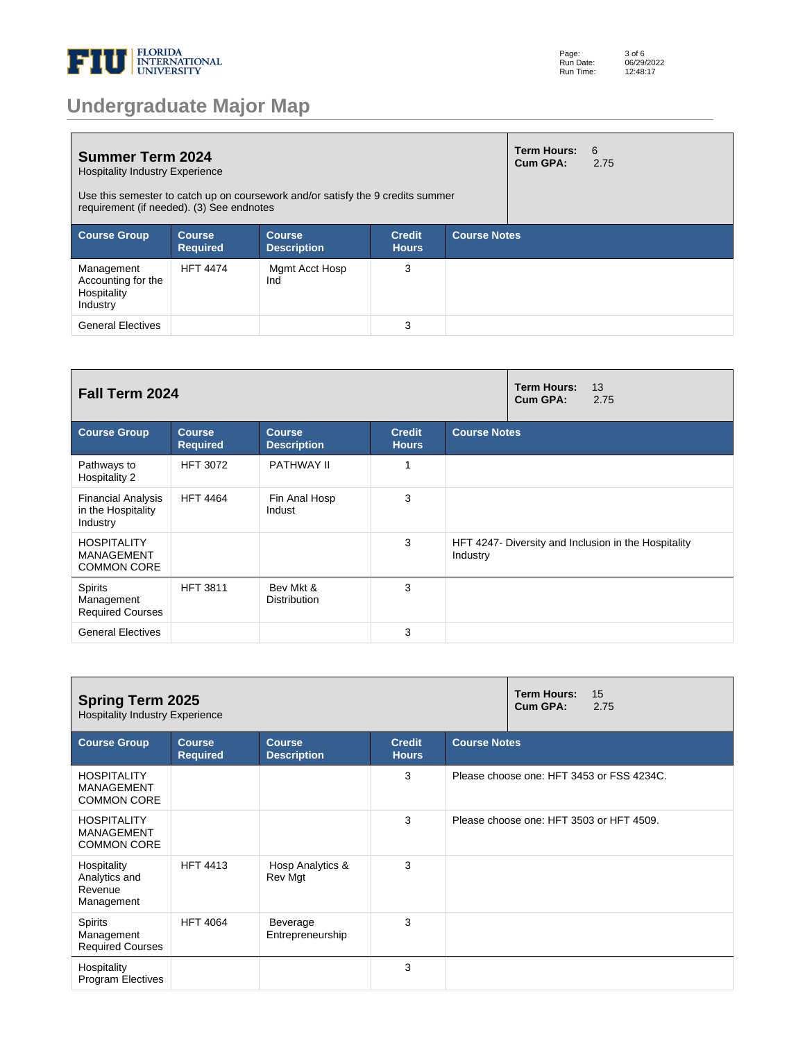

|  |  | <b>Undergraduate Major Map</b> |  |
|--|--|--------------------------------|--|
|  |  |                                |  |

| <b>Summer Term 2024</b><br><b>Hospitality Industry Experience</b><br>Use this semester to catch up on coursework and/or satisfy the 9 credits summer<br>requirement (if needed). (3) See endnotes |                           |                               |                               |                     |  | 6<br>2.75 |
|---------------------------------------------------------------------------------------------------------------------------------------------------------------------------------------------------|---------------------------|-------------------------------|-------------------------------|---------------------|--|-----------|
| <b>Course Group</b>                                                                                                                                                                               | Course<br><b>Required</b> | Course,<br><b>Description</b> | <b>Credit</b><br><b>Hours</b> | <b>Course Notes</b> |  |           |
| Management<br>Accounting for the<br>Hospitality<br>Industry                                                                                                                                       | <b>HFT 4474</b>           | Mgmt Acct Hosp<br>Ind         | 3                             |                     |  |           |
| <b>General Electives</b>                                                                                                                                                                          |                           |                               | 3                             |                     |  |           |

| Fall Term 2024                                                |                                  | <b>Term Hours:</b><br>13<br>Cum GPA:<br>2.75 |                               |                     |                                                      |
|---------------------------------------------------------------|----------------------------------|----------------------------------------------|-------------------------------|---------------------|------------------------------------------------------|
| <b>Course Group</b>                                           | <b>Course</b><br><b>Required</b> | <b>Course</b><br><b>Description</b>          | <b>Credit</b><br><b>Hours</b> | <b>Course Notes</b> |                                                      |
| Pathways to<br>Hospitality 2                                  | <b>HFT 3072</b>                  | <b>PATHWAY II</b>                            | 1                             |                     |                                                      |
| <b>Financial Analysis</b><br>in the Hospitality<br>Industry   | <b>HFT 4464</b>                  | Fin Anal Hosp<br>Indust                      | 3                             |                     |                                                      |
| <b>HOSPITALITY</b><br><b>MANAGEMENT</b><br><b>COMMON CORE</b> |                                  |                                              | 3                             | Industry            | HFT 4247- Diversity and Inclusion in the Hospitality |
| <b>Spirits</b><br>Management<br><b>Required Courses</b>       | <b>HFT 3811</b>                  | Bev Mkt &<br><b>Distribution</b>             | 3                             |                     |                                                      |
| <b>General Electives</b>                                      |                                  |                                              | 3                             |                     |                                                      |

| <b>Spring Term 2025</b><br><b>Hospitality Industry Experience</b> |                                  |                                     |                               |                     |                                          | 15<br>2.75                                |
|-------------------------------------------------------------------|----------------------------------|-------------------------------------|-------------------------------|---------------------|------------------------------------------|-------------------------------------------|
| <b>Course Group</b>                                               | <b>Course</b><br><b>Required</b> | <b>Course</b><br><b>Description</b> | <b>Credit</b><br><b>Hours</b> | <b>Course Notes</b> |                                          |                                           |
| <b>HOSPITALITY</b><br><b>MANAGEMENT</b><br><b>COMMON CORE</b>     |                                  |                                     | 3                             |                     |                                          | Please choose one: HFT 3453 or FSS 4234C. |
| <b>HOSPITALITY</b><br><b>MANAGEMENT</b><br><b>COMMON CORE</b>     |                                  |                                     | 3                             |                     | Please choose one: HFT 3503 or HFT 4509. |                                           |
| Hospitality<br>Analytics and<br>Revenue<br>Management             | <b>HFT 4413</b>                  | Hosp Analytics &<br>Rev Mgt         | 3                             |                     |                                          |                                           |
| Spirits<br>Management<br><b>Required Courses</b>                  | <b>HFT 4064</b>                  | Beverage<br>Entrepreneurship        | 3                             |                     |                                          |                                           |
| Hospitality<br><b>Program Electives</b>                           |                                  |                                     | 3                             |                     |                                          |                                           |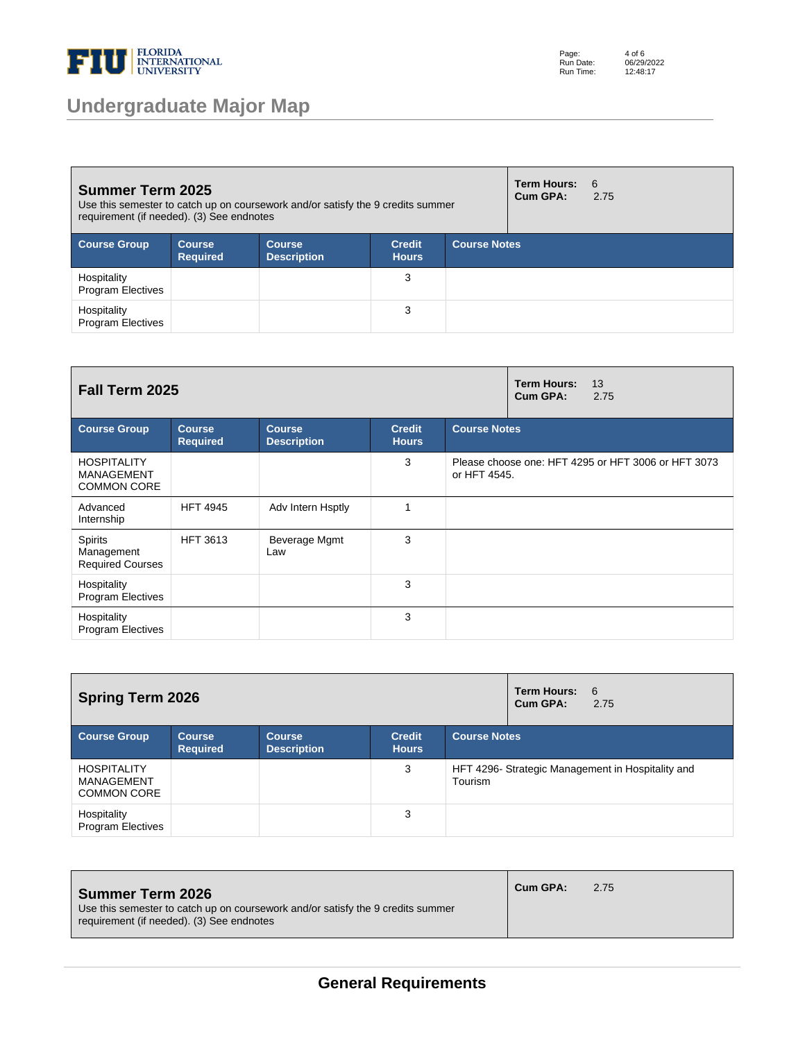

## **Undergraduate Major Map**

Page: Run Date: Run Time: 4 of 6 06/29/2022 12:48:17

| <b>Summer Term 2025</b><br>Use this semester to catch up on coursework and/or satisfy the 9 credits summer<br>requirement (if needed). (3) See endnotes |                           |                                     |                               |                     |  | 6<br>2.75 |
|---------------------------------------------------------------------------------------------------------------------------------------------------------|---------------------------|-------------------------------------|-------------------------------|---------------------|--|-----------|
| <b>Course Group</b>                                                                                                                                     | Course<br><b>Required</b> | <b>Course</b><br><b>Description</b> | <b>Credit</b><br><b>Hours</b> | <b>Course Notes</b> |  |           |
| Hospitality<br><b>Program Electives</b>                                                                                                                 |                           |                                     | 3                             |                     |  |           |
| Hospitality<br><b>Program Electives</b>                                                                                                                 |                           |                                     | 3                             |                     |  |           |

| <b>Fall Term 2025</b>                                         |                                  | <b>Term Hours:</b><br>13<br>Cum GPA:<br>2.75 |                               |                                                                     |
|---------------------------------------------------------------|----------------------------------|----------------------------------------------|-------------------------------|---------------------------------------------------------------------|
| <b>Course Group</b>                                           | <b>Course</b><br><b>Required</b> | <b>Course</b><br><b>Description</b>          | <b>Credit</b><br><b>Hours</b> | <b>Course Notes</b>                                                 |
| <b>HOSPITALITY</b><br><b>MANAGEMENT</b><br><b>COMMON CORE</b> |                                  |                                              | 3                             | Please choose one: HFT 4295 or HFT 3006 or HFT 3073<br>or HFT 4545. |
| Advanced<br>Internship                                        | <b>HFT 4945</b>                  | Adv Intern Hsptly                            |                               |                                                                     |
| <b>Spirits</b><br>Management<br><b>Required Courses</b>       | <b>HFT 3613</b>                  | Beverage Mgmt<br>Law                         | 3                             |                                                                     |
| Hospitality<br><b>Program Electives</b>                       |                                  |                                              | 3                             |                                                                     |
| Hospitality<br><b>Program Electives</b>                       |                                  |                                              | 3                             |                                                                     |

| <b>Spring Term 2026</b>                                |                                  |                                     |                               |                     | Term Hours:<br>Cum GPA: | 6<br>2.75                                         |
|--------------------------------------------------------|----------------------------------|-------------------------------------|-------------------------------|---------------------|-------------------------|---------------------------------------------------|
| <b>Course Group</b>                                    | <b>Course</b><br><b>Required</b> | <b>Course</b><br><b>Description</b> | <b>Credit</b><br><b>Hours</b> | <b>Course Notes</b> |                         |                                                   |
| <b>HOSPITALITY</b><br>MANAGEMENT<br><b>COMMON CORE</b> |                                  |                                     | 3                             | Tourism             |                         | HFT 4296- Strategic Management in Hospitality and |
| Hospitality<br><b>Program Electives</b>                |                                  |                                     | 3                             |                     |                         |                                                   |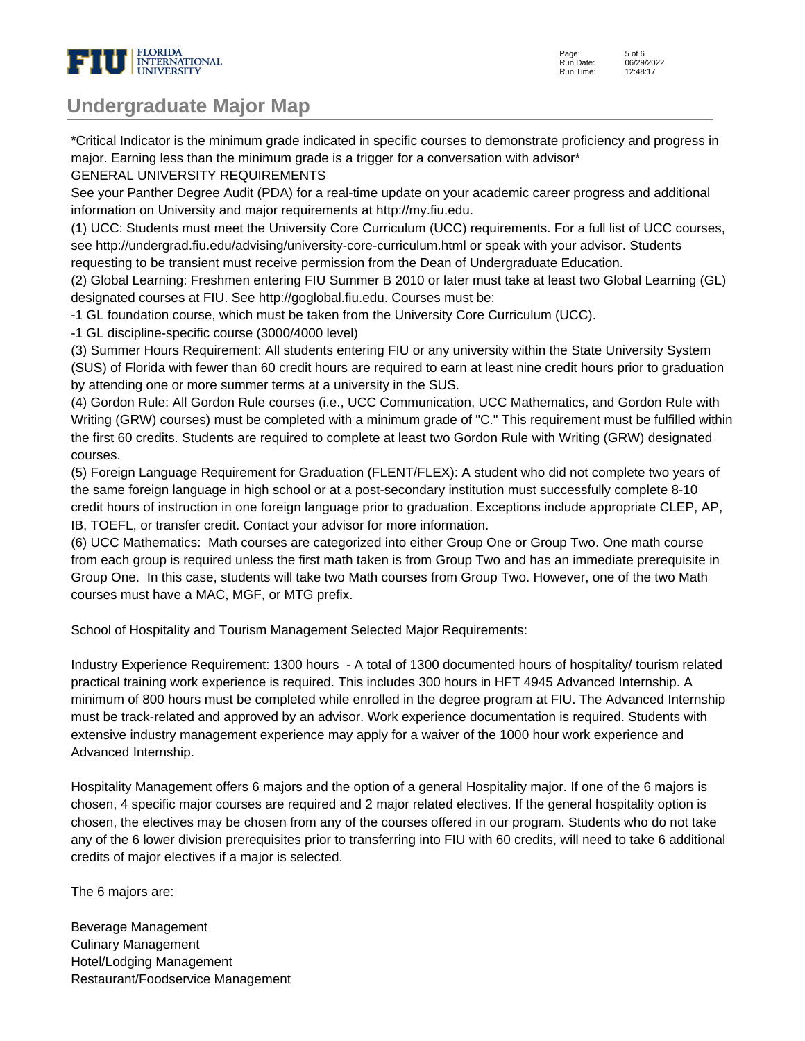

## **Undergraduate Major Map**

\*Critical Indicator is the minimum grade indicated in specific courses to demonstrate proficiency and progress in major. Earning less than the minimum grade is a trigger for a conversation with advisor\*

GENERAL UNIVERSITY REQUIREMENTS

See your Panther Degree Audit (PDA) for a real-time update on your academic career progress and additional information on University and major requirements at http://my.fiu.edu.

(1) UCC: Students must meet the University Core Curriculum (UCC) requirements. For a full list of UCC courses, see http://undergrad.fiu.edu/advising/university-core-curriculum.html or speak with your advisor. Students requesting to be transient must receive permission from the Dean of Undergraduate Education.

(2) Global Learning: Freshmen entering FIU Summer B 2010 or later must take at least two Global Learning (GL) designated courses at FIU. See http://goglobal.fiu.edu. Courses must be:

- 1 GL foundation course, which must be taken from the University Core Curriculum (UCC).

- 1 GL discipline-specific course (3000/4000 level)

(3) Summer Hours Requirement: All students entering FIU or any university within the State University System (SUS) of Florida with fewer than 60 credit hours are required to earn at least nine credit hours prior to graduation by attending one or more summer terms at a university in the SUS.

(4) Gordon Rule: All Gordon Rule courses (i.e., UCC Communication, UCC Mathematics, and Gordon Rule with Writing (GRW) courses) must be completed with a minimum grade of "C." This requirement must be fulfilled within the first 60 credits. Students are required to complete at least two Gordon Rule with Writing (GRW) designated courses.

(5) Foreign Language Requirement for Graduation (FLENT/FLEX): A student who did not complete two years of the same foreign language in high school or at a post-secondary institution must successfully complete 8-10 credit hours of instruction in one foreign language prior to graduation. Exceptions include appropriate CLEP, AP, IB, TOEFL, or transfer credit. Contact your advisor for more information.

(6) UCC Mathematics: Math courses are categorized into either Group One or Group Two. One math course from each group is required unless the first math taken is from Group Two and has an immediate prerequisite in Group One. In this case, students will take two Math courses from Group Two. However, one of the two Math courses must have a MAC, MGF, or MTG prefix.

School of Hospitality and Tourism Management Selected Major Requirements:

Industry Experience Requirement: 1300 hours - A total of 1300 documented hours of hospitality/ tourism related practical training work experience is required. This includes 300 hours in HFT 4945 Advanced Internship. A minimum of 800 hours must be completed while enrolled in the degree program at FIU. The Advanced Internship must be track-related and approved by an advisor. Work experience documentation is required. Students with extensive industry management experience may apply for a waiver of the 1000 hour work experience and Advanced Internship.

Hospitality Management offers 6 majors and the option of a general Hospitality major. If one of the 6 majors is chosen, 4 specific major courses are required and 2 major related electives. If the general hospitality option is chosen, the electives may be chosen from any of the courses offered in our program. Students who do not take any of the 6 lower division prerequisites prior to transferring into FIU with 60 credits, will need to take 6 additional credits of major electives if a major is selected.

The 6 majors are:

Beverage Management Culinary Management Hotel/Lodging Management Restaurant/Foodservice Management